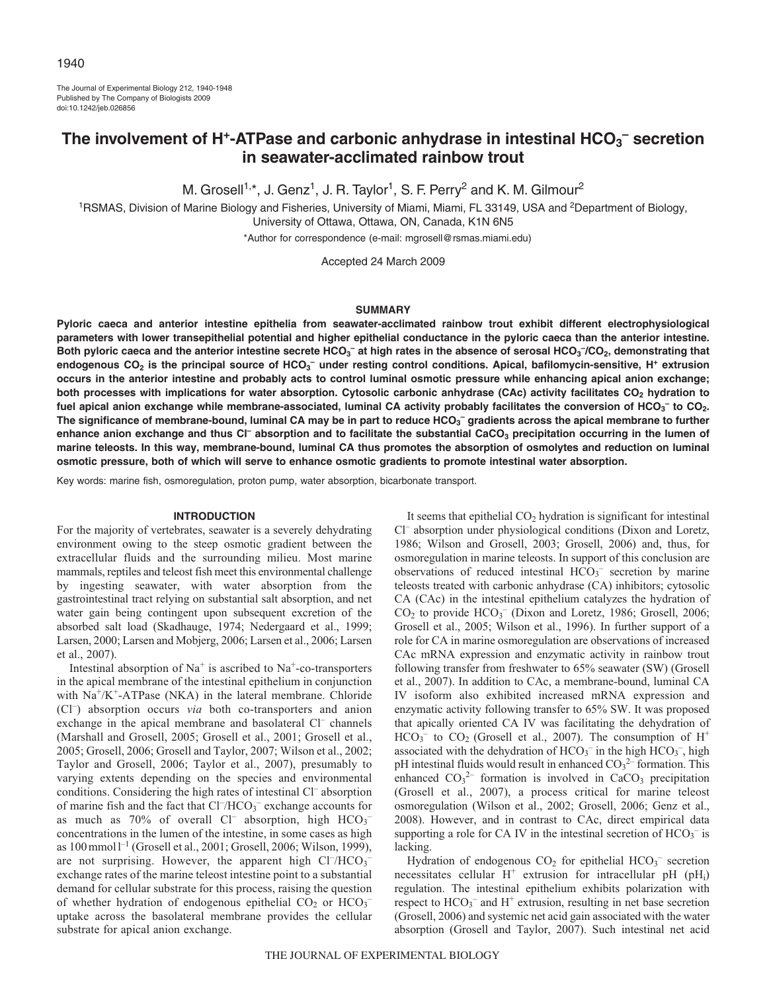The Journal of Experimental Biology 212, 1940-1948 Published by The Company of Biologists 2009 doi:10.1242/jeb.026856

# **The involvement of H+-ATPase and carbonic anhydrase in intestinal HCO3 – secretion in seawater-acclimated rainbow trout**

M. Grosell<sup>1,\*</sup>, J. Genz<sup>1</sup>, J. R. Taylor<sup>1</sup>, S. F. Perry<sup>2</sup> and K. M. Gilmour<sup>2</sup>

<sup>1</sup>RSMAS, Division of Marine Biology and Fisheries, University of Miami, Miami, FL 33149, USA and <sup>2</sup>Department of Biology, University of Ottawa, Ottawa, ON, Canada, K1N 6N5

\*Author for correspondence (e-mail: mgrosell@rsmas.miami.edu)

Accepted 24 March 2009

### **SUMMARY**

**Pyloric caeca and anterior intestine epithelia from seawater-acclimated rainbow trout exhibit different electrophysiological parameters with lower transepithelial potential and higher epithelial conductance in the pyloric caeca than the anterior intestine.** Both pyloric caeca and the anterior intestine secrete HCO<sub>3</sub><sup>-</sup> at high rates in the absence of serosal HCO<sub>3</sub><sup>-</sup>/CO<sub>2</sub>, demonstrating that **endogenous CO2 is the principal source of HCO3 – under resting control conditions. Apical, bafilomycin-sensitive, H+ extrusion occurs in the anterior intestine and probably acts to control luminal osmotic pressure while enhancing apical anion exchange;** both processes with implications for water absorption. Cytosolic carbonic anhydrase (CAc) activity facilitates CO<sub>2</sub> hydration to fuel apical anion exchange while membrane-associated, luminal CA activity probably facilitates the conversion of HCO<sub>3</sub><sup>–</sup> to CO<sub>2</sub>. The significance of membrane-bound, luminal CA may be in part to reduce HCO<sub>3</sub><sup>–</sup> gradients across the apical membrane to further enhance anion exchange and thus CI<sup>-</sup> absorption and to facilitate the substantial CaCO<sub>3</sub> precipitation occurring in the lumen of **marine teleosts. In this way, membrane-bound, luminal CA thus promotes the absorption of osmolytes and reduction on luminal osmotic pressure, both of which will serve to enhance osmotic gradients to promote intestinal water absorption.**

Key words: marine fish, osmoregulation, proton pump, water absorption, bicarbonate transport.

### **INTRODUCTION**

For the majority of vertebrates, seawater is a severely dehydrating environment owing to the steep osmotic gradient between the extracellular fluids and the surrounding milieu. Most marine mammals, reptiles and teleost fish meet this environmental challenge by ingesting seawater, with water absorption from the gastrointestinal tract relying on substantial salt absorption, and net water gain being contingent upon subsequent excretion of the absorbed salt load (Skadhauge, 1974; Nedergaard et al., 1999; Larsen, 2000; Larsen and Mobjerg, 2006; Larsen et al., 2006; Larsen et al., 2007).

Intestinal absorption of  $Na<sup>+</sup>$  is ascribed to  $Na<sup>+</sup>$ -co-transporters in the apical membrane of the intestinal epithelium in conjunction with Na<sup>+</sup>/K<sup>+</sup>-ATPase (NKA) in the lateral membrane. Chloride (Cl– ) absorption occurs *via* both co-transporters and anion exchange in the apical membrane and basolateral Cl<sup>-</sup> channels (Marshall and Grosell, 2005; Grosell et al., 2001; Grosell et al., 2005; Grosell, 2006; Grosell and Taylor, 2007; Wilson et al., 2002; Taylor and Grosell, 2006; Taylor et al., 2007), presumably to varying extents depending on the species and environmental conditions. Considering the high rates of intestinal Cl– absorption of marine fish and the fact that Cl<sup>-</sup>/HCO<sub>3</sub><sup>-</sup> exchange accounts for as much as 70% of overall Cl<sup>-</sup> absorption, high  $HCO_3^$ concentrations in the lumen of the intestine, in some cases as high as 100mmoll–1 (Grosell et al., 2001; Grosell, 2006; Wilson, 1999), are not surprising. However, the apparent high  $Cl<sup>-</sup>/HCO<sub>3</sub>$ exchange rates of the marine teleost intestine point to a substantial demand for cellular substrate for this process, raising the question of whether hydration of endogenous epithelial  $CO_2$  or  $HCO_3^$ uptake across the basolateral membrane provides the cellular substrate for apical anion exchange.

It seems that epithelial  $CO<sub>2</sub>$  hydration is significant for intestinal Cl– absorption under physiological conditions (Dixon and Loretz, 1986; Wilson and Grosell, 2003; Grosell, 2006) and, thus, for osmoregulation in marine teleosts. In support of this conclusion are observations of reduced intestinal  $HCO<sub>3</sub><sup>-</sup>$  secretion by marine teleosts treated with carbonic anhydrase (CA) inhibitors; cytosolic CA (CAc) in the intestinal epithelium catalyzes the hydration of  $CO<sub>2</sub>$  to provide  $HCO<sub>3</sub><sup>-</sup>$  (Dixon and Loretz, 1986; Grosell, 2006; Grosell et al., 2005; Wilson et al., 1996). In further support of a role for CA in marine osmoregulation are observations of increased CAc mRNA expression and enzymatic activity in rainbow trout following transfer from freshwater to 65% seawater (SW) (Grosell et al., 2007). In addition to CAc, a membrane-bound, luminal CA IV isoform also exhibited increased mRNA expression and enzymatic activity following transfer to 65% SW. It was proposed that apically oriented CA IV was facilitating the dehydration of  $HCO<sub>3</sub><sup>-</sup>$  to  $CO<sub>2</sub>$  (Grosell et al., 2007). The consumption of H<sup>+</sup> associated with the dehydration of  $HCO_3^-$  in the high  $HCO_3^-$ , high pH intestinal fluids would result in enhanced  $CO<sub>3</sub><sup>2</sup>$  formation. This enhanced  $CO_3^2$  formation is involved in CaCO<sub>3</sub> precipitation (Grosell et al., 2007), a process critical for marine teleost osmoregulation (Wilson et al., 2002; Grosell, 2006; Genz et al., 2008). However, and in contrast to CAc, direct empirical data supporting a role for CA IV in the intestinal secretion of  $HCO_3^-$  is lacking.

Hydration of endogenous  $CO<sub>2</sub>$  for epithelial  $HCO<sub>3</sub><sup>-</sup>$  secretion necessitates cellular  $H^+$  extrusion for intracellular pH (pH<sub>i</sub>) regulation. The intestinal epithelium exhibits polarization with respect to  $HCO_3^-$  and  $H^+$  extrusion, resulting in net base secretion (Grosell, 2006) and systemic net acid gain associated with the water absorption (Grosell and Taylor, 2007). Such intestinal net acid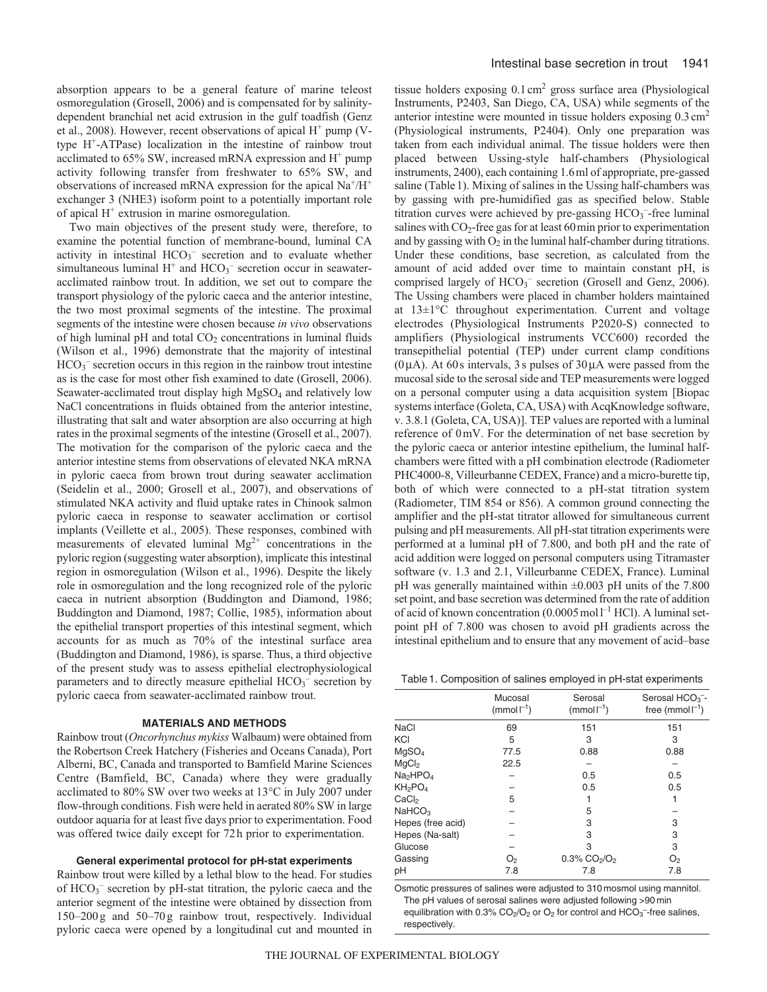absorption appears to be a general feature of marine teleost osmoregulation (Grosell, 2006) and is compensated for by salinitydependent branchial net acid extrusion in the gulf toadfish (Genz et al., 2008). However, recent observations of apical  $H^+$  pump (Vtype  $H^+$ -ATPase) localization in the intestine of rainbow trout acclimated to  $65\%$  SW, increased mRNA expression and  $H^+$  pump activity following transfer from freshwater to 65% SW, and observations of increased mRNA expression for the apical  $Na^+/H^+$ exchanger 3 (NHE3) isoform point to a potentially important role of apical  $H^+$  extrusion in marine osmoregulation.

Two main objectives of the present study were, therefore, to examine the potential function of membrane-bound, luminal CA activity in intestinal HCO<sub>3</sub><sup>-</sup> secretion and to evaluate whether simultaneous luminal  $H^+$  and  $HCO_3^-$  secretion occur in seawateracclimated rainbow trout. In addition, we set out to compare the transport physiology of the pyloric caeca and the anterior intestine, the two most proximal segments of the intestine. The proximal segments of the intestine were chosen because *in vivo* observations of high luminal pH and total  $CO<sub>2</sub>$  concentrations in luminal fluids (Wilson et al., 1996) demonstrate that the majority of intestinal  $HCO<sub>3</sub>$  secretion occurs in this region in the rainbow trout intestine as is the case for most other fish examined to date (Grosell, 2006). Seawater-acclimated trout display high MgSO<sub>4</sub> and relatively low NaCl concentrations in fluids obtained from the anterior intestine, illustrating that salt and water absorption are also occurring at high rates in the proximal segments of the intestine (Grosell et al., 2007). The motivation for the comparison of the pyloric caeca and the anterior intestine stems from observations of elevated NKA mRNA in pyloric caeca from brown trout during seawater acclimation (Seidelin et al., 2000; Grosell et al., 2007), and observations of stimulated NKA activity and fluid uptake rates in Chinook salmon pyloric caeca in response to seawater acclimation or cortisol implants (Veillette et al., 2005). These responses, combined with measurements of elevated luminal  $Mg^{2+}$  concentrations in the pyloric region (suggesting water absorption), implicate this intestinal region in osmoregulation (Wilson et al., 1996). Despite the likely role in osmoregulation and the long recognized role of the pyloric caeca in nutrient absorption (Buddington and Diamond, 1986; Buddington and Diamond, 1987; Collie, 1985), information about the epithelial transport properties of this intestinal segment, which accounts for as much as 70% of the intestinal surface area (Buddington and Diamond, 1986), is sparse. Thus, a third objective of the present study was to assess epithelial electrophysiological parameters and to directly measure epithelial  $HCO_3^-$  secretion by pyloric caeca from seawater-acclimated rainbow trout.

#### **MATERIALS AND METHODS**

Rainbow trout (*Oncorhynchus mykiss* Walbaum) were obtained from the Robertson Creek Hatchery (Fisheries and Oceans Canada), Port Alberni, BC, Canada and transported to Bamfield Marine Sciences Centre (Bamfield, BC, Canada) where they were gradually acclimated to 80% SW over two weeks at 13°C in July 2007 under flow-through conditions. Fish were held in aerated 80% SW in large outdoor aquaria for at least five days prior to experimentation. Food was offered twice daily except for 72h prior to experimentation.

### **General experimental protocol for pH-stat experiments**

Rainbow trout were killed by a lethal blow to the head. For studies of HCO<sub>3</sub><sup>-</sup> secretion by pH-stat titration, the pyloric caeca and the anterior segment of the intestine were obtained by dissection from 150–200 g and 50–70 g rainbow trout, respectively. Individual pyloric caeca were opened by a longitudinal cut and mounted in tissue holders exposing  $0.1 \text{ cm}^2$  gross surface area (Physiological Instruments, P2403, San Diego, CA, USA) while segments of the anterior intestine were mounted in tissue holders exposing 0.3cm2 (Physiological instruments, P2404). Only one preparation was taken from each individual animal. The tissue holders were then placed between Ussing-style half-chambers (Physiological instruments, 2400), each containing 1.6ml of appropriate, pre-gassed saline (Table 1). Mixing of salines in the Ussing half-chambers was by gassing with pre-humidified gas as specified below. Stable titration curves were achieved by pre-gassing  $HCO<sub>3</sub>$ -free luminal salines with  $CO_2$ -free gas for at least 60 min prior to experimentation and by gassing with  $O_2$  in the luminal half-chamber during titrations. Under these conditions, base secretion, as calculated from the amount of acid added over time to maintain constant pH, is comprised largely of HCO<sub>3</sub><sup>-</sup> secretion (Grosell and Genz, 2006). The Ussing chambers were placed in chamber holders maintained at 13±1°C throughout experimentation. Current and voltage electrodes (Physiological Instruments P2020-S) connected to amplifiers (Physiological instruments VCC600) recorded the transepithelial potential (TEP) under current clamp conditions ( $0\mu$ A). At 60s intervals, 3s pulses of  $30\mu$ A were passed from the mucosal side to the serosal side and TEP measurements were logged on a personal computer using a data acquisition system [Biopac systems interface (Goleta, CA, USA) with AcqKnowledge software, v. 3.8.1 (Goleta, CA, USA)]. TEP values are reported with a luminal reference of 0mV. For the determination of net base secretion by the pyloric caeca or anterior intestine epithelium, the luminal halfchambers were fitted with a pH combination electrode (Radiometer PHC4000-8, Villeurbanne CEDEX, France) and a micro-burette tip, both of which were connected to a pH-stat titration system (Radiometer, TIM 854 or 856). A common ground connecting the amplifier and the pH-stat titrator allowed for simultaneous current pulsing and pH measurements. All pH-stat titration experiments were performed at a luminal pH of 7.800, and both pH and the rate of acid addition were logged on personal computers using Titramaster software (v. 1.3 and 2.1, Villeurbanne CEDEX, France). Luminal pH was generally maintained within ±0.003 pH units of the 7.800 set point, and base secretion was determined from the rate of addition of acid of known concentration  $(0.0005 \text{ mol} \cdot 1^{-1} \text{ HCl})$ . A luminal setpoint pH of 7.800 was chosen to avoid pH gradients across the intestinal epithelium and to ensure that any movement of acid–base

Table1. Composition of salines employed in pH-stat experiments

|                                  | Mucosal<br>$(mmol-1)$ | Serosal<br>$(mmol-1)$                   | Serosal $HCO3$ -<br>free (mmol $ ^{-1}$ ) |
|----------------------------------|-----------------------|-----------------------------------------|-------------------------------------------|
| <b>NaCl</b>                      | 69                    | 151                                     | 151                                       |
| KCI                              | 5                     | 3                                       | 3                                         |
| MqSO <sub>4</sub>                | 77.5                  | 0.88                                    | 0.88                                      |
| MqCl <sub>2</sub>                | 22.5                  |                                         |                                           |
| Na <sub>2</sub> HPO <sub>4</sub> |                       | 0.5                                     | 0.5                                       |
| KH <sub>2</sub> PO <sub>4</sub>  |                       | 0.5                                     | 0.5                                       |
| CaCl,                            | 5                     |                                         |                                           |
| NAHCO <sub>3</sub>               |                       | 5                                       |                                           |
| Hepes (free acid)                |                       | 3                                       | 3                                         |
| Hepes (Na-salt)                  |                       | 3                                       | 3                                         |
| Glucose                          |                       | 3                                       | 3                                         |
| Gassing                          | O <sub>2</sub>        | $0.3\%$ CO <sub>2</sub> /O <sub>2</sub> | O <sub>2</sub>                            |
| pН                               | 7.8                   | 7.8                                     | 7.8                                       |

Osmotic pressures of salines were adjusted to 310 mosmol using mannitol. The pH values of serosal salines were adjusted following >90 min equilibration with  $0.3\%$  CO<sub>2</sub>/O<sub>2</sub> or O<sub>2</sub> for control and HCO<sub>3</sub><sup>-</sup>-free salines, respectively.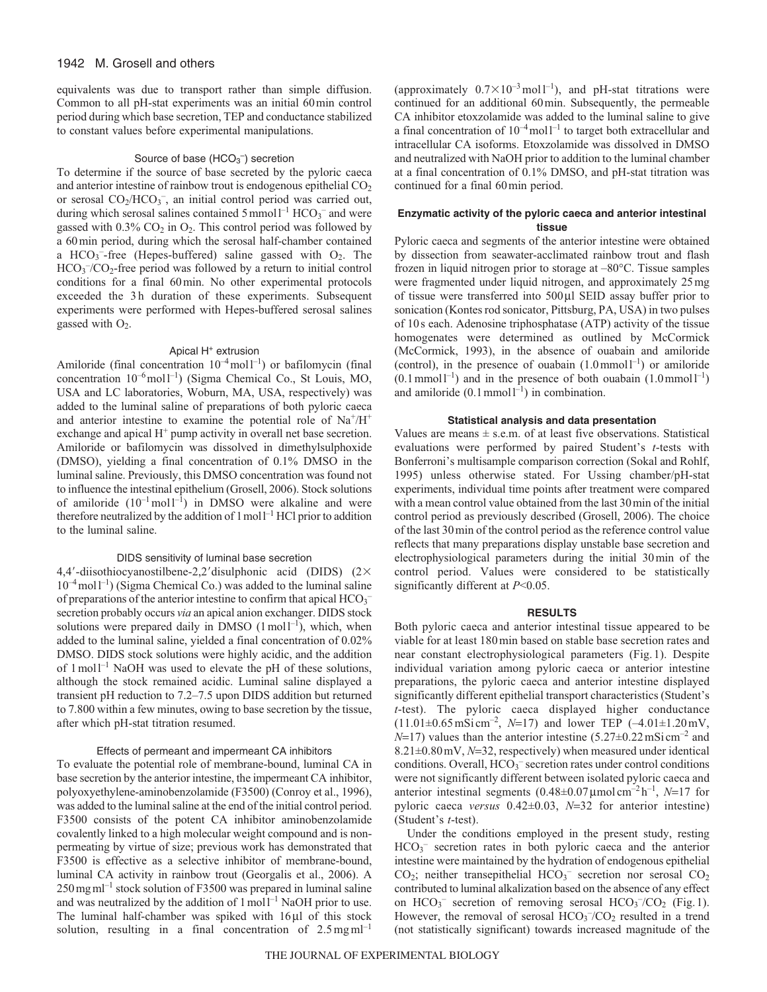equivalents was due to transport rather than simple diffusion. Common to all pH-stat experiments was an initial 60min control period during which base secretion, TEP and conductance stabilized to constant values before experimental manipulations.

# Source of base  $(HCO<sub>3</sub><sup>-</sup>)$  secretion

To determine if the source of base secreted by the pyloric caeca and anterior intestine of rainbow trout is endogenous epithelial  $CO<sub>2</sub>$ or serosal CO<sub>2</sub>/HCO<sub>3</sub><sup>-</sup>, an initial control period was carried out, during which serosal salines contained  $5$  mmol  $l^{-1}$  HCO<sub>3</sub><sup>-</sup> and were gassed with  $0.3\%$  CO<sub>2</sub> in O<sub>2</sub>. This control period was followed by a 60min period, during which the serosal half-chamber contained a  $HCO<sub>3</sub>$ -free (Hepes-buffered) saline gassed with  $O<sub>2</sub>$ . The HCO<sub>3</sub><sup>-</sup>/CO<sub>2</sub>-free period was followed by a return to initial control conditions for a final 60min. No other experimental protocols exceeded the 3h duration of these experiments. Subsequent experiments were performed with Hepes-buffered serosal salines gassed with  $O_2$ .

# Apical H<sup>+</sup> extrusion

Amiloride (final concentration  $10^{-4}$  moll<sup>-1</sup>) or bafilomycin (final concentration 10–6moll–1) (Sigma Chemical Co., St Louis, MO, USA and LC laboratories, Woburn, MA, USA, respectively) was added to the luminal saline of preparations of both pyloric caeca and anterior intestine to examine the potential role of  $Na^+/H^+$ exchange and apical  $H^+$  pump activity in overall net base secretion. Amiloride or bafilomycin was dissolved in dimethylsulphoxide (DMSO), yielding a final concentration of 0.1% DMSO in the luminal saline. Previously, this DMSO concentration was found not to influence the intestinal epithelium (Grosell, 2006). Stock solutions of amiloride  $(10^{-1} \text{ mol l}^{-1})$  in DMSO were alkaline and were therefore neutralized by the addition of  $1 \text{ mol}^{-1}$  HCl prior to addition to the luminal saline.

## DIDS sensitivity of luminal base secretion

4,4'-diisothiocyanostilbene-2,2' disulphonic acid (DIDS)  $(2 \times$  $10^{-4}$  moll<sup>-1</sup>) (Sigma Chemical Co.) was added to the luminal saline of preparations of the anterior intestine to confirm that apical  $\mathrm{HCO_3}^$ secretion probably occurs *via* an apical anion exchanger. DIDS stock solutions were prepared daily in DMSO  $(1 \text{ mol}^{-1})$ , which, when added to the luminal saline, yielded a final concentration of 0.02% DMSO. DIDS stock solutions were highly acidic, and the addition of  $1 \text{ mol}^{-1}$  NaOH was used to elevate the pH of these solutions, although the stock remained acidic. Luminal saline displayed a transient pH reduction to 7.2–7.5 upon DIDS addition but returned to 7.800 within a few minutes, owing to base secretion by the tissue, after which pH-stat titration resumed.

## Effects of permeant and impermeant CA inhibitors

To evaluate the potential role of membrane-bound, luminal CA in base secretion by the anterior intestine, the impermeant CA inhibitor, polyoxyethylene-aminobenzolamide (F3500) (Conroy et al., 1996), was added to the luminal saline at the end of the initial control period. F3500 consists of the potent CA inhibitor aminobenzolamide covalently linked to a high molecular weight compound and is nonpermeating by virtue of size; previous work has demonstrated that F3500 is effective as a selective inhibitor of membrane-bound, luminal CA activity in rainbow trout (Georgalis et al., 2006). A  $250$  mg m $l^{-1}$  stock solution of F3500 was prepared in luminal saline and was neutralized by the addition of  $1 \text{ mol}^{-1}$  NaOH prior to use. The luminal half-chamber was spiked with 16μl of this stock solution, resulting in a final concentration of  $2.5 \text{ mg} \text{m}^{-1}$  (approximately  $0.7 \times 10^{-3}$  mol l<sup>-1</sup>), and pH-stat titrations were continued for an additional 60min. Subsequently, the permeable CA inhibitor etoxzolamide was added to the luminal saline to give a final concentration of  $10^{-4}$  moll<sup>-1</sup> to target both extracellular and intracellular CA isoforms. Etoxzolamide was dissolved in DMSO and neutralized with NaOH prior to addition to the luminal chamber at a final concentration of 0.1% DMSO, and pH-stat titration was continued for a final 60min period.

# **Enzymatic activity of the pyloric caeca and anterior intestinal tissue**

Pyloric caeca and segments of the anterior intestine were obtained by dissection from seawater-acclimated rainbow trout and flash frozen in liquid nitrogen prior to storage at –80°C. Tissue samples were fragmented under liquid nitrogen, and approximately 25mg of tissue were transferred into 500μl SEID assay buffer prior to sonication (Kontes rod sonicator, Pittsburg, PA, USA) in two pulses of 10s each. Adenosine triphosphatase (ATP) activity of the tissue homogenates were determined as outlined by McCormick (McCormick, 1993), in the absence of ouabain and amiloride (control), in the presence of ouabain  $(1.0 \text{ mmol}1^{-1})$  or amiloride  $(0.1 \text{ mmol}^{-1})$  and in the presence of both ouabain  $(1.0 \text{ mmol}^{-1})$ and amiloride  $(0.1 \text{ mmol1}^{-1})$  in combination.

## **Statistical analysis and data presentation**

Values are means  $\pm$  s.e.m. of at least five observations. Statistical evaluations were performed by paired Student's *t*-tests with Bonferroni's multisample comparison correction (Sokal and Rohlf, 1995) unless otherwise stated. For Ussing chamber/pH-stat experiments, individual time points after treatment were compared with a mean control value obtained from the last 30min of the initial control period as previously described (Grosell, 2006). The choice of the last 30min of the control period as the reference control value reflects that many preparations display unstable base secretion and electrophysiological parameters during the initial 30min of the control period. Values were considered to be statistically significantly different at *P*<0.05.

## **RESULTS**

Both pyloric caeca and anterior intestinal tissue appeared to be viable for at least 180min based on stable base secretion rates and near constant electrophysiological parameters (Fig.1). Despite individual variation among pyloric caeca or anterior intestine preparations, the pyloric caeca and anterior intestine displayed significantly different epithelial transport characteristics (Student's *t*-test). The pyloric caeca displayed higher conductance  $(11.01\pm0.65 \,\text{mSi cm}^{-2}, N=17)$  and lower TEP  $(-4.01\pm1.20 \,\text{mV})$ ,  $N=17$ ) values than the anterior intestine (5.27 $\pm$ 0.22 mSicm<sup>-2</sup> and 8.21±0.80mV, *N*=32, respectively) when measured under identical conditions. Overall,  $HCO_3^-$  secretion rates under control conditions were not significantly different between isolated pyloric caeca and anterior intestinal segments  $(0.48 \pm 0.07 \,\mu\text{mol cm}^{-2} \text{h}^{-1}, N=17 \text{ for }$ pyloric caeca *versus* 0.42±0.03, *N*=32 for anterior intestine) (Student's *t*-test).

Under the conditions employed in the present study, resting HCO<sub>3</sub><sup>-</sup> secretion rates in both pyloric caeca and the anterior intestine were maintained by the hydration of endogenous epithelial  $CO<sub>2</sub>$ ; neither transepithelial  $HCO<sub>3</sub><sup>-</sup>$  secretion nor serosal  $CO<sub>2</sub>$ contributed to luminal alkalization based on the absence of any effect on  $HCO<sub>3</sub><sup>-</sup>$  secretion of removing serosal  $HCO<sub>3</sub><sup>-</sup>/CO<sub>2</sub>$  (Fig.1). However, the removal of serosal  $HCO<sub>3</sub><sup>-</sup>/CO<sub>2</sub>$  resulted in a trend (not statistically significant) towards increased magnitude of the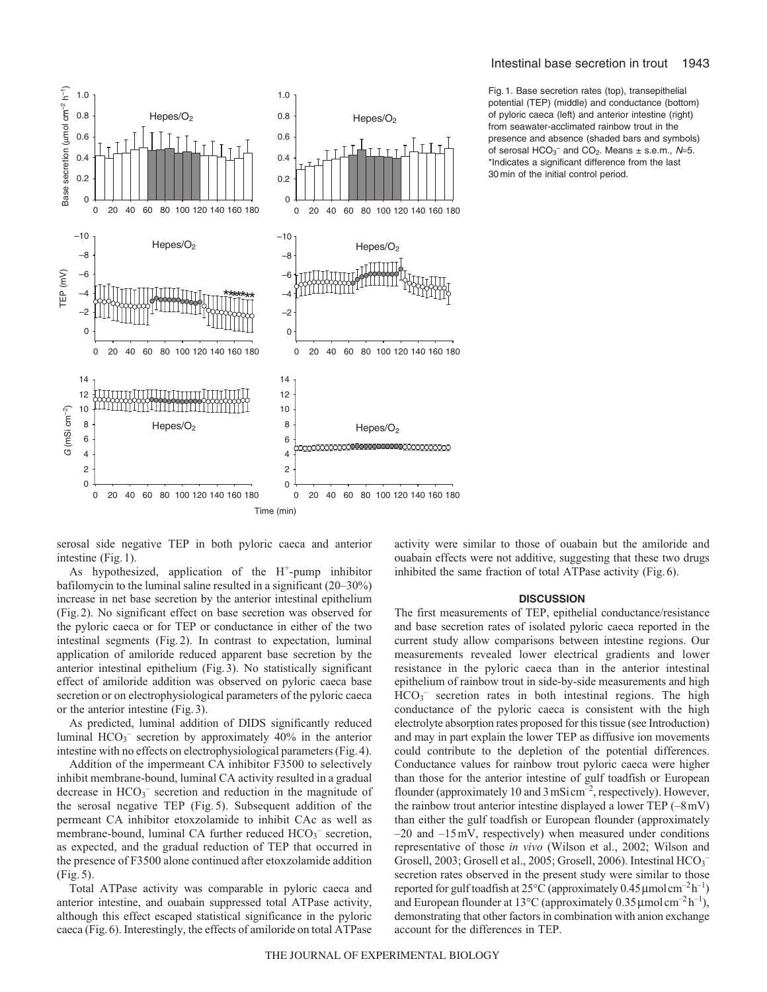### Intestinal base secretion in trout 1943



Fig. 1. Base secretion rates (top), transepithelial potential (TEP) (middle) and conductance (bottom) of pyloric caeca (left) and anterior intestine (right) from seawater-acclimated rainbow trout in the presence and absence (shaded bars and symbols) of serosal  $HCO_3^-$  and  $CO_2$ . Means  $\pm$  s.e.m.,  $N=5$ . \*Indicates a significant difference from the last 30 min of the initial control period.

serosal side negative TEP in both pyloric caeca and anterior intestine (Fig.1).

As hypothesized, application of the  $H^+$ -pump inhibitor bafilomycin to the luminal saline resulted in a significant (20–30%) increase in net base secretion by the anterior intestinal epithelium (Fig.2). No significant effect on base secretion was observed for the pyloric caeca or for TEP or conductance in either of the two intestinal segments (Fig.2). In contrast to expectation, luminal application of amiloride reduced apparent base secretion by the anterior intestinal epithelium (Fig.3). No statistically significant effect of amiloride addition was observed on pyloric caeca base secretion or on electrophysiological parameters of the pyloric caeca or the anterior intestine (Fig.3).

As predicted, luminal addition of DIDS significantly reduced luminal  $HCO<sub>3</sub><sup>-</sup>$  secretion by approximately 40% in the anterior intestine with no effects on electrophysiological parameters (Fig.4).

Addition of the impermeant CA inhibitor F3500 to selectively inhibit membrane-bound, luminal CA activity resulted in a gradual decrease in  $HCO<sub>3</sub><sup>-</sup>$  secretion and reduction in the magnitude of the serosal negative TEP (Fig. 5). Subsequent addition of the permeant CA inhibitor etoxzolamide to inhibit CAc as well as membrane-bound, luminal CA further reduced HCO<sub>3</sub><sup>-</sup> secretion, as expected, and the gradual reduction of TEP that occurred in the presence of F3500 alone continued after etoxzolamide addition (Fig. 5).

Total ATPase activity was comparable in pyloric caeca and anterior intestine, and ouabain suppressed total ATPase activity, although this effect escaped statistical significance in the pyloric caeca (Fig.6). Interestingly, the effects of amiloride on total ATPase activity were similar to those of ouabain but the amiloride and ouabain effects were not additive, suggesting that these two drugs inhibited the same fraction of total ATPase activity (Fig.6).

### **DISCUSSION**

The first measurements of TEP, epithelial conductance/resistance and base secretion rates of isolated pyloric caeca reported in the current study allow comparisons between intestine regions. Our measurements revealed lower electrical gradients and lower resistance in the pyloric caeca than in the anterior intestinal epithelium of rainbow trout in side-by-side measurements and high  $HCO<sub>3</sub>$ <sup>-</sup> secretion rates in both intestinal regions. The high conductance of the pyloric caeca is consistent with the high electrolyte absorption rates proposed for this tissue (see Introduction) and may in part explain the lower TEP as diffusive ion movements could contribute to the depletion of the potential differences. Conductance values for rainbow trout pyloric caeca were higher than those for the anterior intestine of gulf toadfish or European flounder (approximately 10 and 3 mSi cm<sup>-2</sup>, respectively). However, the rainbow trout anterior intestine displayed a lower TEP  $(-8 \text{ mV})$ than either the gulf toadfish or European flounder (approximately  $-20$  and  $-15$ mV, respectively) when measured under conditions representative of those *in vivo* (Wilson et al., 2002; Wilson and Grosell, 2003; Grosell et al., 2005; Grosell, 2006). Intestinal  $HCO_3^$ secretion rates observed in the present study were similar to those reported for gulf toadfish at  $25^{\circ}$ C (approximately 0.45 µmolcm<sup>-2</sup>h<sup>-1</sup>) and European flounder at 13<sup>o</sup>C (approximately 0.35  $\mu$ molcm<sup>-2</sup> h<sup>-1</sup>), demonstrating that other factors in combination with anion exchange account for the differences in TEP.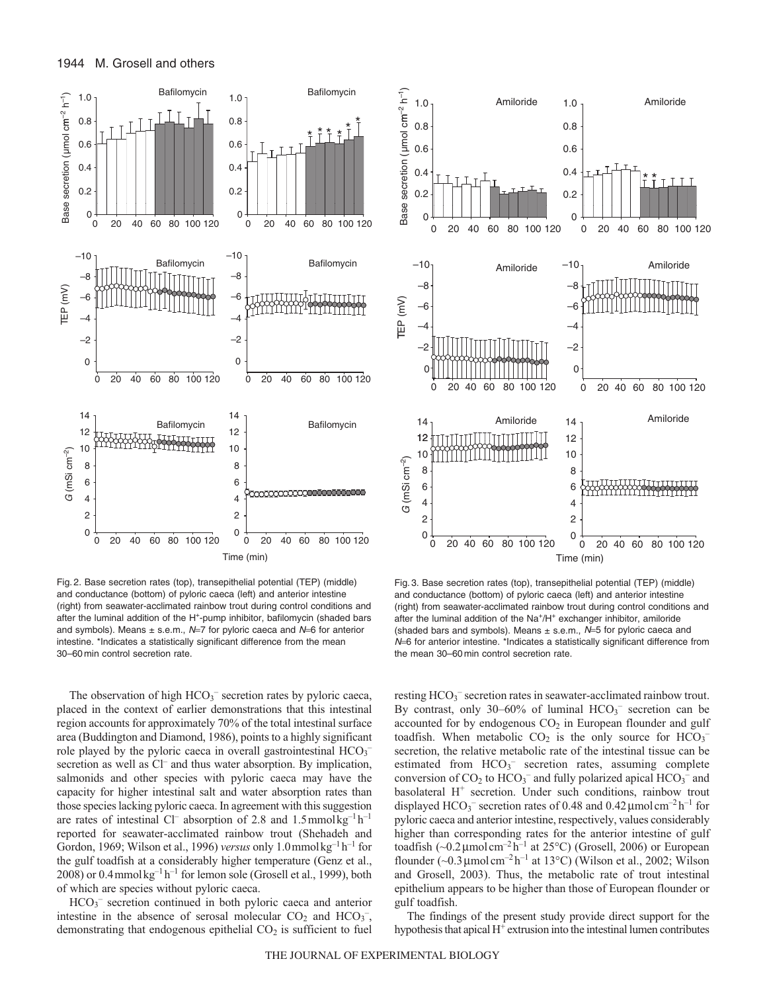

Fig. 2. Base secretion rates (top), transepithelial potential (TEP) (middle) and conductance (bottom) of pyloric caeca (left) and anterior intestine (right) from seawater-acclimated rainbow trout during control conditions and after the luminal addition of the H<sup>+</sup>-pump inhibitor, bafilomycin (shaded bars and symbols). Means  $\pm$  s.e.m., N=7 for pyloric caeca and N=6 for anterior intestine. \*Indicates a statistically significant difference from the mean 30–60 min control secretion rate.

The observation of high  $HCO_3^-$  secretion rates by pyloric caeca, placed in the context of earlier demonstrations that this intestinal region accounts for approximately 70% of the total intestinal surface area (Buddington and Diamond, 1986), points to a highly significant role played by the pyloric caeca in overall gastrointestinal  $HCO<sub>3</sub>$ secretion as well as Cl<sup>-</sup> and thus water absorption. By implication, salmonids and other species with pyloric caeca may have the capacity for higher intestinal salt and water absorption rates than those species lacking pyloric caeca. In agreement with this suggestion are rates of intestinal Cl<sup>–</sup> absorption of 2.8 and  $1.5$ mmolkg<sup>-1</sup>h<sup>-1</sup> reported for seawater-acclimated rainbow trout (Shehadeh and Gordon, 1969; Wilson et al., 1996) *versus* only 1.0mmolkg–1 h–1 for the gulf toadfish at a considerably higher temperature (Genz et al., 2008) or 0.4 mmol $kg^{-1}h^{-1}$  for lemon sole (Grosell et al., 1999), both of which are species without pyloric caeca.

HCO<sub>3</sub><sup>-</sup> secretion continued in both pyloric caeca and anterior intestine in the absence of serosal molecular  $CO<sub>2</sub>$  and  $HCO<sub>3</sub><sup>-</sup>$ , demonstrating that endogenous epithelial  $CO<sub>2</sub>$  is sufficient to fuel



Fig. 3. Base secretion rates (top), transepithelial potential (TEP) (middle) and conductance (bottom) of pyloric caeca (left) and anterior intestine (right) from seawater-acclimated rainbow trout during control conditions and after the luminal addition of the Na<sup>+</sup>/H<sup>+</sup> exchanger inhibitor, amiloride (shaded bars and symbols). Means  $\pm$  s.e.m.,  $N=5$  for pyloric caeca and <sup>N</sup>=6 for anterior intestine. \*Indicates a statistically significant difference from the mean 30–60 min control secretion rate.

resting HCO<sub>3</sub><sup>-</sup> secretion rates in seawater-acclimated rainbow trout. By contrast, only  $30-60\%$  of luminal  $HCO<sub>3</sub><sup>-</sup>$  secretion can be accounted for by endogenous  $CO<sub>2</sub>$  in European flounder and gulf toadfish. When metabolic  $CO_2$  is the only source for  $HCO_3^$ secretion, the relative metabolic rate of the intestinal tissue can be estimated from HCO<sub>3</sub><sup>-</sup> secretion rates, assuming complete conversion of  $CO_2$  to  $HCO_3^-$  and fully polarized apical  $HCO_3^-$  and basolateral  $H^+$  secretion. Under such conditions, rainbow trout displayed  $HCO_3^-$  secretion rates of 0.48 and 0.42 µmolcm<sup>-2</sup> h<sup>-1</sup> for pyloric caeca and anterior intestine, respectively, values considerably higher than corresponding rates for the anterior intestine of gulf toadfish (~0.2  $\mu$ molcm<sup>-2</sup> h<sup>-1</sup> at 25°C) (Grosell, 2006) or European flounder  $(-0.3 \,\mu\text{mol cm}^{-2} \text{h}^{-1}$  at 13°C) (Wilson et al., 2002; Wilson and Grosell, 2003). Thus, the metabolic rate of trout intestinal epithelium appears to be higher than those of European flounder or gulf toadfish.

The findings of the present study provide direct support for the hypothesis that apical  $H^+$  extrusion into the intestinal lumen contributes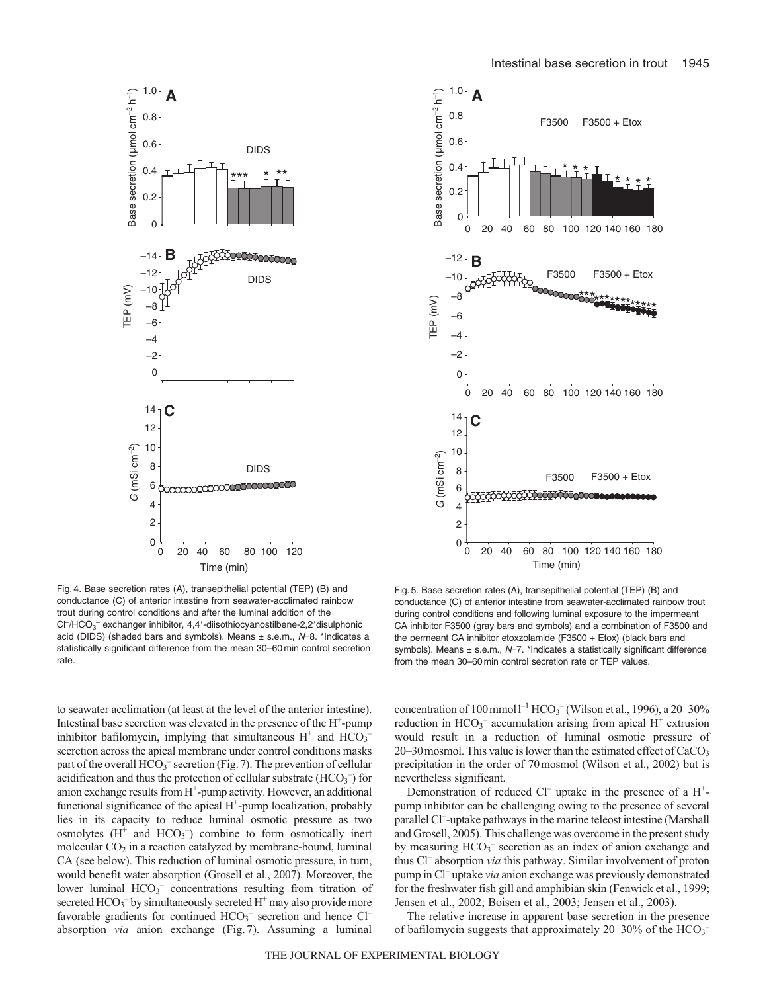

Fig. 4. Base secretion rates (A), transepithelial potential (TEP) (B) and conductance (C) of anterior intestine from seawater-acclimated rainbow trout during control conditions and after the luminal addition of the Cl<sup>-</sup>/HCO<sub>3</sub><sup>-</sup> exchanger inhibitor, 4,4'-diisothiocyanostilbene-2,2'disulphonic acid (DIDS) (shaded bars and symbols). Means  $\pm$  s.e.m.,  $N=8$ . \*Indicates a statistically significant difference from the mean 30–60 min control secretion rate

to seawater acclimation (at least at the level of the anterior intestine). Intestinal base secretion was elevated in the presence of the  $H^+$ -pump inhibitor bafilomycin, implying that simultaneous  $H^+$  and  $HCO<sub>3</sub>^$ secretion across the apical membrane under control conditions masks part of the overall  $\text{HCO}_3^-$  secretion (Fig. 7). The prevention of cellular acidification and thus the protection of cellular substrate  $(HCO<sub>3</sub><sup>-</sup>)$  for anion exchange results from H<sup>+</sup>-pump activity. However, an additional functional significance of the apical  $H^+$ -pump localization, probably lies in its capacity to reduce luminal osmotic pressure as two osmolytes  $(H^+$  and  $HCO_3^-$ ) combine to form osmotically inert molecular  $CO<sub>2</sub>$  in a reaction catalyzed by membrane-bound, luminal CA (see below). This reduction of luminal osmotic pressure, in turn, would benefit water absorption (Grosell et al., 2007). Moreover, the lower luminal  $HCO<sub>3</sub><sup>-</sup>$  concentrations resulting from titration of secreted  $HCO_3$ <sup>-</sup> by simultaneously secreted  $H^+$  may also provide more favorable gradients for continued HCO<sub>3</sub><sup>-</sup> secretion and hence Cl<sup>-</sup> absorption *via* anion exchange (Fig. 7). Assuming a luminal



Fig.5. Base secretion rates (A), transepithelial potential (TEP) (B) and conductance (C) of anterior intestine from seawater-acclimated rainbow trout during control conditions and following luminal exposure to the impermeant CA inhibitor F3500 (gray bars and symbols) and a combination of F3500 and the permeant CA inhibitor etoxzolamide (F3500 + Etox) (black bars and symbols). Means  $\pm$  s.e.m.,  $N=7$ . \*Indicates a statistically significant difference from the mean 30–60min control secretion rate or TEP values.

concentration of  $100 \,\mathrm{mmol}^{-1}$  HCO<sub>3</sub><sup>-</sup> (Wilson et al., 1996), a 20–30% reduction in  $HCO_3^-$  accumulation arising from apical  $H^+$  extrusion would result in a reduction of luminal osmotic pressure of 20–30 mosmol. This value is lower than the estimated effect of  $CaCO<sub>3</sub>$ precipitation in the order of 70mosmol (Wilson et al., 2002) but is nevertheless significant.

Demonstration of reduced  $Cl^-$  uptake in the presence of a  $H^+$ pump inhibitor can be challenging owing to the presence of several parallel Cl<sup>-</sup>-uptake pathways in the marine teleost intestine (Marshall and Grosell, 2005). This challenge was overcome in the present study by measuring HCO<sub>3</sub><sup>-</sup> secretion as an index of anion exchange and thus Cl– absorption *via* this pathway. Similar involvement of proton pump in Cl– uptake *via* anion exchange was previously demonstrated for the freshwater fish gill and amphibian skin (Fenwick et al., 1999; Jensen et al., 2002; Boisen et al., 2003; Jensen et al., 2003).

The relative increase in apparent base secretion in the presence of bafilomycin suggests that approximately 20-30% of the  $HCO_3^-$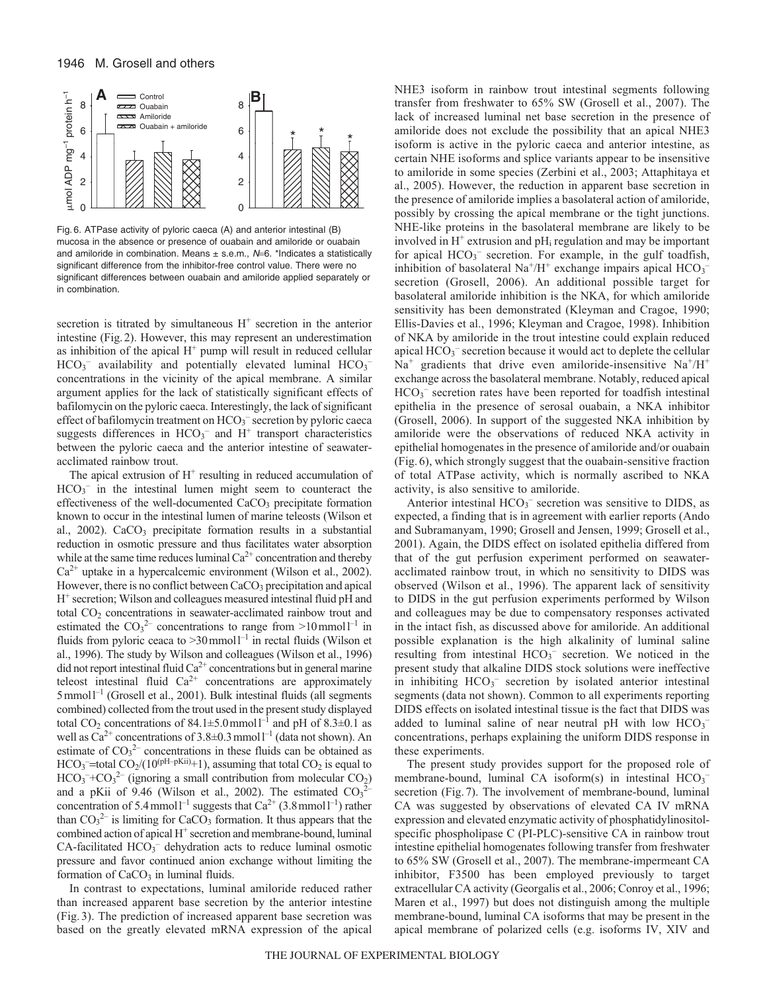

Fig. 6. ATPase activity of pyloric caeca (A) and anterior intestinal (B) mucosa in the absence or presence of ouabain and amiloride or ouabain and amiloride in combination. Means  $\pm$  s.e.m.,  $N=6$ . \*Indicates a statistically significant difference from the inhibitor-free control value. There were no significant differences between ouabain and amiloride applied separately or in combination.

secretion is titrated by simultaneous  $H^+$  secretion in the anterior intestine (Fig.2). However, this may represent an underestimation as inhibition of the apical  $H^+$  pump will result in reduced cellular  $HCO<sub>3</sub>$ <sup>-</sup> availability and potentially elevated luminal  $HCO<sub>3</sub>$ <sup>-</sup> concentrations in the vicinity of the apical membrane. A similar argument applies for the lack of statistically significant effects of bafilomycin on the pyloric caeca. Interestingly, the lack of significant effect of bafilomycin treatment on  $HCO<sub>3</sub><sup>-</sup>$  secretion by pyloric caeca suggests differences in  $HCO_3^-$  and  $H^+$  transport characteristics between the pyloric caeca and the anterior intestine of seawateracclimated rainbow trout.

The apical extrusion of  $H^+$  resulting in reduced accumulation of  $HCO<sub>3</sub><sup>-</sup>$  in the intestinal lumen might seem to counteract the effectiveness of the well-documented CaCO<sub>3</sub> precipitate formation known to occur in the intestinal lumen of marine teleosts (Wilson et al., 2002). CaCO<sub>3</sub> precipitate formation results in a substantial reduction in osmotic pressure and thus facilitates water absorption while at the same time reduces luminal  $Ca^{2+}$  concentration and thereby  $Ca^{2+}$  uptake in a hypercalcemic environment (Wilson et al., 2002). However, there is no conflict between CaCO<sub>3</sub> precipitation and apical H<sup>+</sup> secretion; Wilson and colleagues measured intestinal fluid pH and total CO<sub>2</sub> concentrations in seawater-acclimated rainbow trout and estimated the  $CO_3^2$  concentrations to range from  $>10$  mmol<sup>1-1</sup> in fluids from pyloric ceaca to  $>30$  mmoll<sup>-1</sup> in rectal fluids (Wilson et al., 1996). The study by Wilson and colleagues (Wilson et al., 1996) did not report intestinal fluid  $Ca^{2+}$  concentrations but in general marine teleost intestinal fluid  $Ca^{2+}$  concentrations are approximately 5mmoll–1 (Grosell et al., 2001). Bulk intestinal fluids (all segments combined) collected from the trout used in the present study displayed total CO<sub>2</sub> concentrations of 84.1 $\pm$ 5.0 mmoll<sup>-1</sup> and pH of 8.3 $\pm$ 0.1 as well as  $Ca^{2+}$  concentrations of 3.8 $\pm$ 0.3 mmol  $l^{-1}$  (data not shown). An estimate of  $CO<sub>3</sub><sup>2-</sup>$  concentrations in these fluids can be obtained as  $HCO_3$ <sup>-</sup>=total  $CO_2/(10^{(pH-pKii)}+1)$ , assuming that total  $CO_2$  is equal to  $HCO<sub>3</sub><sup>-</sup>+CO<sub>3</sub><sup>2-</sup>$  (ignoring a small contribution from molecular  $CO<sub>2</sub>$ ) and a pKii of 9.46 (Wilson et al., 2002). The estimated  $CO<sub>3</sub><sup>2</sup>$ concentration of 5.4 mmol<sup>1-1</sup> suggests that  $Ca^{2+}$  (3.8 mmol<sup>1-1</sup>) rather than  $CO_3^2$ <sup>-</sup> is limiting for CaCO<sub>3</sub> formation. It thus appears that the combined action of apical H<sup>+</sup> secretion and membrane-bound, luminal  $CA$ -facilitated  $HCO_3^-$  dehydration acts to reduce luminal osmotic pressure and favor continued anion exchange without limiting the formation of  $CaCO<sub>3</sub>$  in luminal fluids.

In contrast to expectations, luminal amiloride reduced rather than increased apparent base secretion by the anterior intestine (Fig. 3). The prediction of increased apparent base secretion was based on the greatly elevated mRNA expression of the apical NHE3 isoform in rainbow trout intestinal segments following transfer from freshwater to 65% SW (Grosell et al., 2007). The lack of increased luminal net base secretion in the presence of amiloride does not exclude the possibility that an apical NHE3 isoform is active in the pyloric caeca and anterior intestine, as certain NHE isoforms and splice variants appear to be insensitive to amiloride in some species (Zerbini et al., 2003; Attaphitaya et al., 2005). However, the reduction in apparent base secretion in the presence of amiloride implies a basolateral action of amiloride, possibly by crossing the apical membrane or the tight junctions. NHE-like proteins in the basolateral membrane are likely to be involved in  $H^+$  extrusion and pH<sub>i</sub> regulation and may be important for apical HCO<sub>3</sub><sup>-</sup> secretion. For example, in the gulf toadfish, inhibition of basolateral Na<sup>+</sup>/H<sup>+</sup> exchange impairs apical  $\mathrm{HCO_3}^$ secretion (Grosell, 2006). An additional possible target for basolateral amiloride inhibition is the NKA, for which amiloride sensitivity has been demonstrated (Kleyman and Cragoe, 1990; Ellis-Davies et al., 1996; Kleyman and Cragoe, 1998). Inhibition of NKA by amiloride in the trout intestine could explain reduced apical  $HCO_3^-$  secretion because it would act to deplete the cellular  $Na<sup>+</sup>$  gradients that drive even amiloride-insensitive  $Na<sup>+</sup>/H<sup>+</sup>$ exchange across the basolateral membrane. Notably, reduced apical  $HCO<sub>3</sub>$ <sup>-</sup> secretion rates have been reported for toadfish intestinal epithelia in the presence of serosal ouabain, a NKA inhibitor (Grosell, 2006). In support of the suggested NKA inhibition by amiloride were the observations of reduced NKA activity in epithelial homogenates in the presence of amiloride and/or ouabain (Fig. 6), which strongly suggest that the ouabain-sensitive fraction of total ATPase activity, which is normally ascribed to NKA activity, is also sensitive to amiloride.

Anterior intestinal  $HCO<sub>3</sub><sup>-</sup>$  secretion was sensitive to DIDS, as expected, a finding that is in agreement with earlier reports (Ando and Subramanyam, 1990; Grosell and Jensen, 1999; Grosell et al., 2001). Again, the DIDS effect on isolated epithelia differed from that of the gut perfusion experiment performed on seawateracclimated rainbow trout, in which no sensitivity to DIDS was observed (Wilson et al., 1996). The apparent lack of sensitivity to DIDS in the gut perfusion experiments performed by Wilson and colleagues may be due to compensatory responses activated in the intact fish, as discussed above for amiloride. An additional possible explanation is the high alkalinity of luminal saline resulting from intestinal  $HCO<sub>3</sub><sup>-</sup>$  secretion. We noticed in the present study that alkaline DIDS stock solutions were ineffective in inhibiting  $HCO_3^-$  secretion by isolated anterior intestinal segments (data not shown). Common to all experiments reporting DIDS effects on isolated intestinal tissue is the fact that DIDS was added to luminal saline of near neutral pH with low  $HCO_3^$ concentrations, perhaps explaining the uniform DIDS response in these experiments.

The present study provides support for the proposed role of membrane-bound, luminal CA isoform(s) in intestinal  $HCO<sub>3</sub>$ secretion (Fig. 7). The involvement of membrane-bound, luminal CA was suggested by observations of elevated CA IV mRNA expression and elevated enzymatic activity of phosphatidylinositolspecific phospholipase C (PI-PLC)-sensitive CA in rainbow trout intestine epithelial homogenates following transfer from freshwater to 65% SW (Grosell et al., 2007). The membrane-impermeant CA inhibitor, F3500 has been employed previously to target extracellular CA activity (Georgalis et al., 2006; Conroy et al., 1996; Maren et al., 1997) but does not distinguish among the multiple membrane-bound, luminal CA isoforms that may be present in the apical membrane of polarized cells (e.g. isoforms IV, XIV and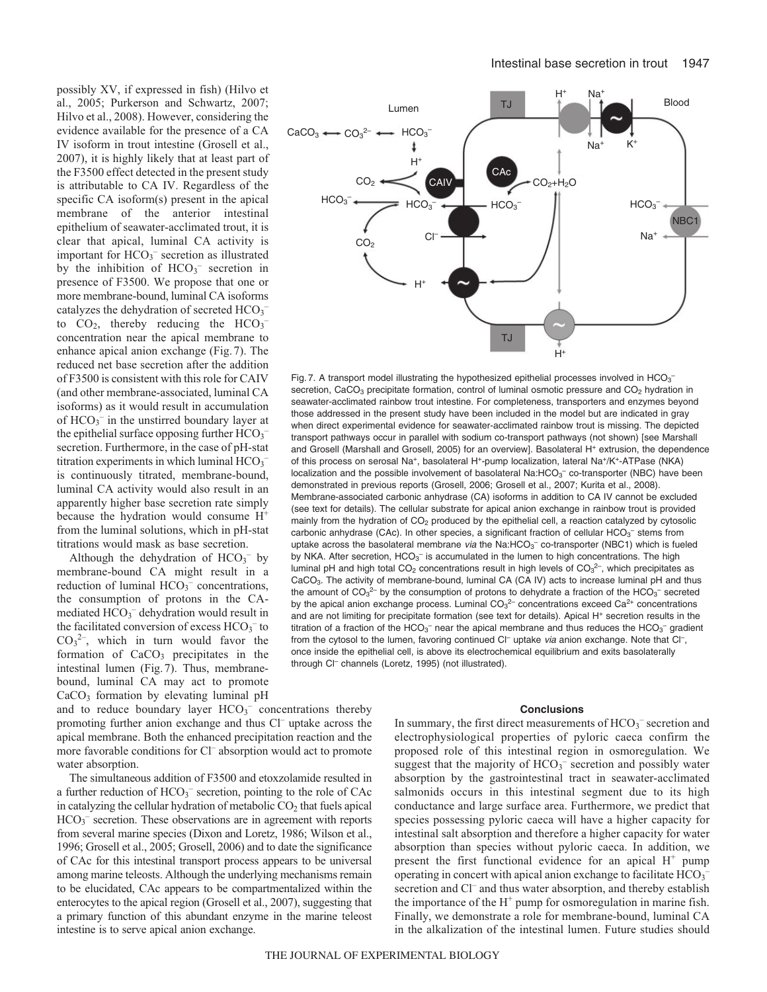possibly XV, if expressed in fish) (Hilvo et al., 2005; Purkerson and Schwartz, 2007; Hilvo et al., 2008). However, considering the evidence available for the presence of a CA IV isoform in trout intestine (Grosell et al., 2007), it is highly likely that at least part of the F3500 effect detected in the present study is attributable to CA IV. Regardless of the specific CA isoform(s) present in the apical membrane of the anterior intestinal epithelium of seawater-acclimated trout, it is clear that apical, luminal CA activity is important for HCO<sub>3</sub><sup>-</sup> secretion as illustrated by the inhibition of  $HCO<sub>3</sub><sup>-</sup>$  secretion in presence of F3500. We propose that one or more membrane-bound, luminal CA isoforms catalyzes the dehydration of secreted  $HCO_3^$ to  $CO_2$ , thereby reducing the  $HCO_3^$ concentration near the apical membrane to enhance apical anion exchange (Fig.7). The reduced net base secretion after the addition of F3500 is consistent with this role for CAIV (and other membrane-associated, luminal CA isoforms) as it would result in accumulation of  $HCO_3^-$  in the unstirred boundary layer at the epithelial surface opposing further  $HCO_3^$ secretion. Furthermore, in the case of pH-stat titration experiments in which luminal  $HCO_3^$ is continuously titrated, membrane-bound, luminal CA activity would also result in an apparently higher base secretion rate simply because the hydration would consume H+ from the luminal solutions, which in pH-stat titrations would mask as base secretion.

Although the dehydration of  $HCO<sub>3</sub><sup>-</sup>$  by membrane-bound CA might result in a reduction of luminal  $HCO<sub>3</sub><sup>-</sup>$  concentrations, the consumption of protons in the CAmediated  $HCO<sub>3</sub><sup>-</sup>$  dehydration would result in the facilitated conversion of excess  $HCO<sub>3</sub><sup>-</sup>$  to  $CO<sub>3</sub><sup>2</sup>$ , which in turn would favor the formation of  $CaCO<sub>3</sub>$  precipitates in the intestinal lumen (Fig.7). Thus, membranebound, luminal CA may act to promote CaCO<sub>3</sub> formation by elevating luminal pH

and to reduce boundary layer  $HCO<sub>3</sub><sup>-</sup>$  concentrations thereby promoting further anion exchange and thus Cl<sup>–</sup> uptake across the apical membrane. Both the enhanced precipitation reaction and the more favorable conditions for Cl– absorption would act to promote water absorption.

The simultaneous addition of F3500 and etoxzolamide resulted in a further reduction of  $HCO<sub>3</sub><sup>-</sup>$  secretion, pointing to the role of CAc in catalyzing the cellular hydration of metabolic  $CO<sub>2</sub>$  that fuels apical HCO<sub>3</sub><sup>-</sup> secretion. These observations are in agreement with reports from several marine species (Dixon and Loretz, 1986; Wilson et al., 1996; Grosell et al., 2005; Grosell, 2006) and to date the significance of CAc for this intestinal transport process appears to be universal among marine teleosts. Although the underlying mechanisms remain to be elucidated, CAc appears to be compartmentalized within the enterocytes to the apical region (Grosell et al., 2007), suggesting that a primary function of this abundant enzyme in the marine teleost intestine is to serve apical anion exchange.



Fig. 7. A transport model illustrating the hypothesized epithelial processes involved in HCO<sub>3</sub><sup>-</sup> secretion, CaCO<sub>3</sub> precipitate formation, control of luminal osmotic pressure and CO<sub>2</sub> hydration in seawater-acclimated rainbow trout intestine. For completeness, transporters and enzymes beyond those addressed in the present study have been included in the model but are indicated in gray when direct experimental evidence for seawater-acclimated rainbow trout is missing. The depicted transport pathways occur in parallel with sodium co-transport pathways (not shown) [see Marshall and Grosell (Marshall and Grosell, 2005) for an overview]. Basolateral H<sup>+</sup> extrusion, the dependence of this process on serosal Na+, basolateral H+-pump localization, lateral Na+/K+-ATPase (NKA) localization and the possible involvement of basolateral Na: $HCO<sub>3</sub><sup>-</sup>$  co-transporter (NBC) have been demonstrated in previous reports (Grosell, 2006; Grosell et al., 2007; Kurita et al., 2008). Membrane-associated carbonic anhydrase (CA) isoforms in addition to CA IV cannot be excluded (see text for details). The cellular substrate for apical anion exchange in rainbow trout is provided mainly from the hydration of  $CO<sub>2</sub>$  produced by the epithelial cell, a reaction catalyzed by cytosolic carbonic anhydrase (CAc). In other species, a significant fraction of cellular  $\text{HCO}_{3}^{-}$  stems from uptake across the basolateral membrane *via* the Na:HCO<sub>3</sub><sup>-</sup> co-transporter (NBC1) which is fueled by NKA. After secretion,  $HCO_3^-$  is accumulated in the lumen to high concentrations. The high luminal pH and high total CO<sub>2</sub> concentrations result in high levels of CO<sub>3</sub><sup>2-</sup>, which precipitates as CaCO3. The activity of membrane-bound, luminal CA (CA IV) acts to increase luminal pH and thus the amount of CO<sub>3</sub><sup>2-</sup> by the consumption of protons to dehydrate a fraction of the HCO<sub>3</sub><sup>-</sup> secreted by the apical anion exchange process. Luminal CO<sub>3</sub><sup>2–</sup> concentrations exceed Ca<sup>2+</sup> concentrations and are not limiting for precipitate formation (see text for details). Apical H<sup>+</sup> secretion results in the titration of a fraction of the HCO<sub>3</sub><sup>-</sup> near the apical membrane and thus reduces the HCO<sub>3</sub><sup>-</sup> gradient from the cytosol to the lumen, favoring continued Cl<sup>-</sup> uptake via anion exchange. Note that Cl<sup>-</sup>, once inside the epithelial cell, is above its electrochemical equilibrium and exits basolaterally through Cl<sup>-</sup> channels (Loretz, 1995) (not illustrated).

### **Conclusions**

In summary, the first direct measurements of  $HCO_3^-$  secretion and electrophysiological properties of pyloric caeca confirm the proposed role of this intestinal region in osmoregulation. We suggest that the majority of  $HCO<sub>3</sub><sup>-</sup>$  secretion and possibly water absorption by the gastrointestinal tract in seawater-acclimated salmonids occurs in this intestinal segment due to its high conductance and large surface area. Furthermore, we predict that species possessing pyloric caeca will have a higher capacity for intestinal salt absorption and therefore a higher capacity for water absorption than species without pyloric caeca. In addition, we present the first functional evidence for an apical  $H^+$  pump operating in concert with apical anion exchange to facilitate  $HCO_3^$ secretion and Cl<sup>–</sup> and thus water absorption, and thereby establish the importance of the  $H^+$  pump for osmoregulation in marine fish. Finally, we demonstrate a role for membrane-bound, luminal CA in the alkalization of the intestinal lumen. Future studies should